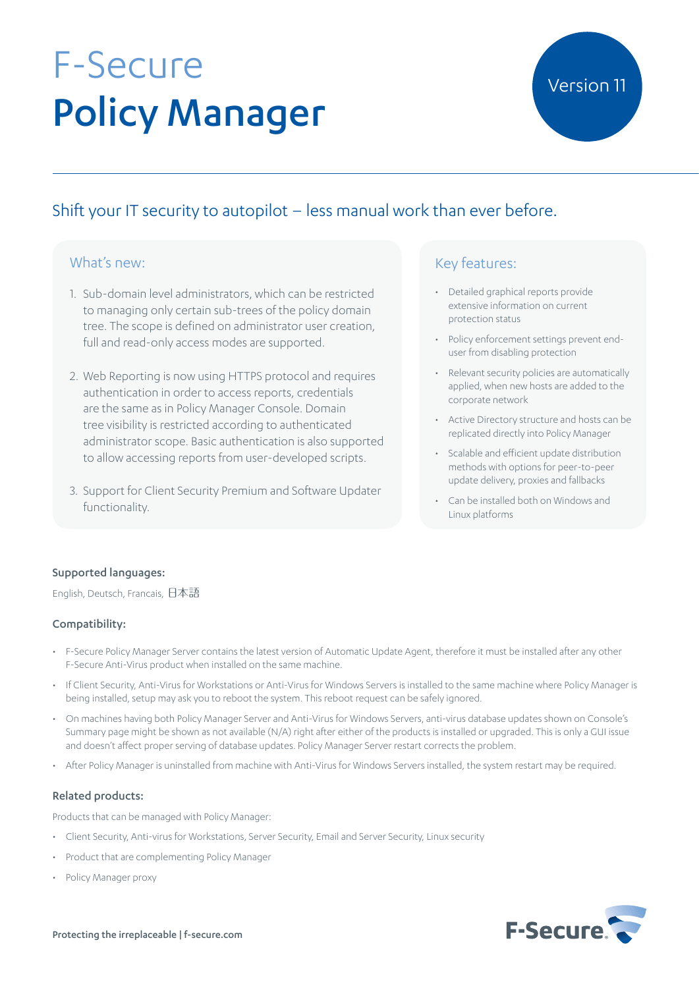# F-Secure Policy Manager

### Shift your IT security to autopilot – less manual work than ever before.

#### What's new:

- 1. Sub-domain level administrators, which can be restricted to managing only certain sub-trees of the policy domain tree. The scope is defined on administrator user creation, full and read-only access modes are supported.
- 2. Web Reporting is now using HTTPS protocol and requires authentication in order to access reports, credentials are the same as in Policy Manager Console. Domain tree visibility is restricted according to authenticated administrator scope. Basic authentication is also supported to allow accessing reports from user-developed scripts.
- 3. Support for Client Security Premium and Software Updater functionality.

#### Key features:

- • Detailed graphical reports provide extensive information on current protection status
- Policy enforcement settings prevent enduser from disabling protection
- • Relevant security policies are automatically applied, when new hosts are added to the corporate network
- • Active Directory structure and hosts can be replicated directly into Policy Manager
- • Scalable and efficient update distribution methods with options for peer-to-peer update delivery, proxies and fallbacks
- Can be installed both on Windows and Linux platforms

#### Supported languages:

English, Deutsch, Francais, 日本語

#### Compatibility:

- • F-Secure Policy Manager Server contains the latest version of Automatic Update Agent, therefore it must be installed after any other F-Secure Anti-Virus product when installed on the same machine.
- If Client Security, Anti-Virus for Workstations or Anti-Virus for Windows Servers is installed to the same machine where Policy Manager is being installed, setup may ask you to reboot the system. This reboot request can be safely ignored.
- • On machines having both Policy Manager Server and Anti-Virus for Windows Servers, anti-virus database updates shown on Console's Summary page might be shown as not available (N/A) right after either of the products is installed or upgraded. This is only a GUI issue and doesn't affect proper serving of database updates. Policy Manager Server restart corrects the problem.
- After Policy Manager is uninstalled from machine with Anti-Virus for Windows Servers installed, the system restart may be required.

#### Related products:

Products that can be managed with Policy Manager:

- • Client Security, Anti-virus for Workstations, Server Security, Email and Server Security, Linux security
- Product that are complementing Policy Manager
- • Policy Manager proxy